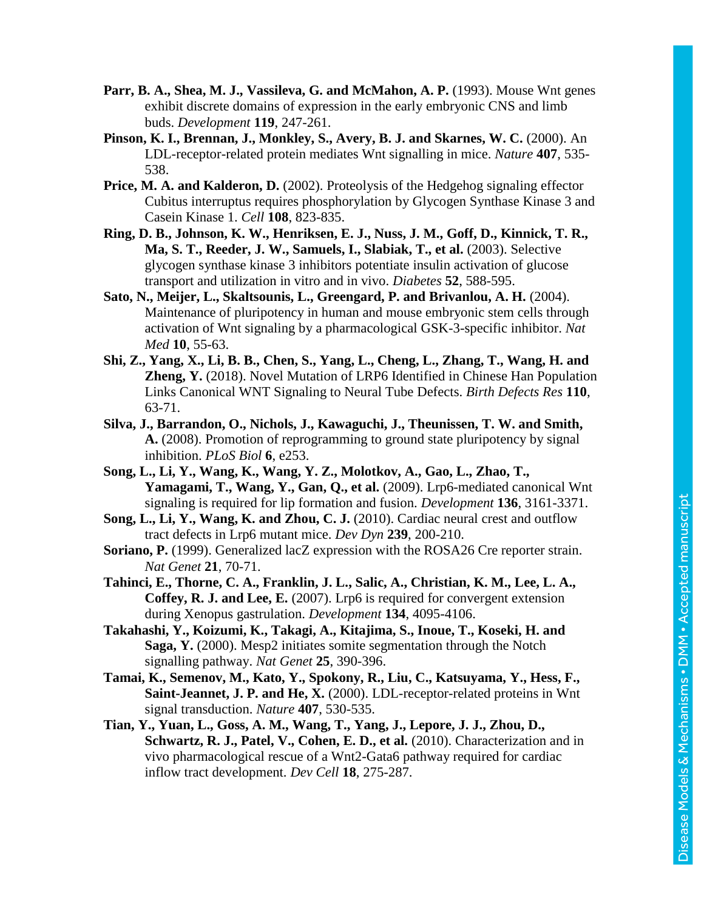- **Parr, B. A., Shea, M. J., Vassileva, G. and McMahon, A. P.** (1993). Mouse Wnt genes exhibit discrete domains of expression in the early embryonic CNS and limb buds. *Development* **119**, 247-261.
- **Pinson, K. I., Brennan, J., Monkley, S., Avery, B. J. and Skarnes, W. C.** (2000). An LDL-receptor-related protein mediates Wnt signalling in mice. *Nature* **407**, 535- 538.
- **Price, M. A. and Kalderon, D.** (2002). Proteolysis of the Hedgehog signaling effector Cubitus interruptus requires phosphorylation by Glycogen Synthase Kinase 3 and Casein Kinase 1. *Cell* **108**, 823-835.
- **Ring, D. B., Johnson, K. W., Henriksen, E. J., Nuss, J. M., Goff, D., Kinnick, T. R., Ma, S. T., Reeder, J. W., Samuels, I., Slabiak, T., et al.** (2003). Selective glycogen synthase kinase 3 inhibitors potentiate insulin activation of glucose transport and utilization in vitro and in vivo. *Diabetes* **52**, 588-595.
- Sato, N., Meijer, L., Skaltsounis, L., Greengard, P. and Brivanlou, A. H. (2004). Maintenance of pluripotency in human and mouse embryonic stem cells through activation of Wnt signaling by a pharmacological GSK-3-specific inhibitor. *Nat Med* **10**, 55-63.
- **Shi, Z., Yang, X., Li, B. B., Chen, S., Yang, L., Cheng, L., Zhang, T., Wang, H. and Zheng, Y.** (2018). Novel Mutation of LRP6 Identified in Chinese Han Population Links Canonical WNT Signaling to Neural Tube Defects. *Birth Defects Res* **110**, 63-71.
- **Silva, J., Barrandon, O., Nichols, J., Kawaguchi, J., Theunissen, T. W. and Smith, A.** (2008). Promotion of reprogramming to ground state pluripotency by signal inhibition. *PLoS Biol* **6**, e253.
- **Song, L., Li, Y., Wang, K., Wang, Y. Z., Molotkov, A., Gao, L., Zhao, T., Yamagami, T., Wang, Y., Gan, Q., et al.** (2009). Lrp6-mediated canonical Wnt signaling is required for lip formation and fusion. *Development* **136**, 3161-3371.
- **Song, L., Li, Y., Wang, K. and Zhou, C. J.** (2010). Cardiac neural crest and outflow tract defects in Lrp6 mutant mice. *Dev Dyn* **239**, 200-210.
- **Soriano, P.** (1999). Generalized lacZ expression with the ROSA26 Cre reporter strain. *Nat Genet* **21**, 70-71.
- **Tahinci, E., Thorne, C. A., Franklin, J. L., Salic, A., Christian, K. M., Lee, L. A., Coffey, R. J. and Lee, E.** (2007). Lrp6 is required for convergent extension during Xenopus gastrulation. *Development* **134**, 4095-4106.
- **Takahashi, Y., Koizumi, K., Takagi, A., Kitajima, S., Inoue, T., Koseki, H. and Saga, Y.** (2000). Mesp2 initiates somite segmentation through the Notch signalling pathway. *Nat Genet* **25**, 390-396.
- **Tamai, K., Semenov, M., Kato, Y., Spokony, R., Liu, C., Katsuyama, Y., Hess, F., Saint-Jeannet, J. P. and He, X.** (2000). LDL-receptor-related proteins in Wnt signal transduction. *Nature* **407**, 530-535.
- **Tian, Y., Yuan, L., Goss, A. M., Wang, T., Yang, J., Lepore, J. J., Zhou, D., Schwartz, R. J., Patel, V., Cohen, E. D., et al.** (2010). Characterization and in vivo pharmacological rescue of a Wnt2-Gata6 pathway required for cardiac inflow tract development. *Dev Cell* **18**, 275-287.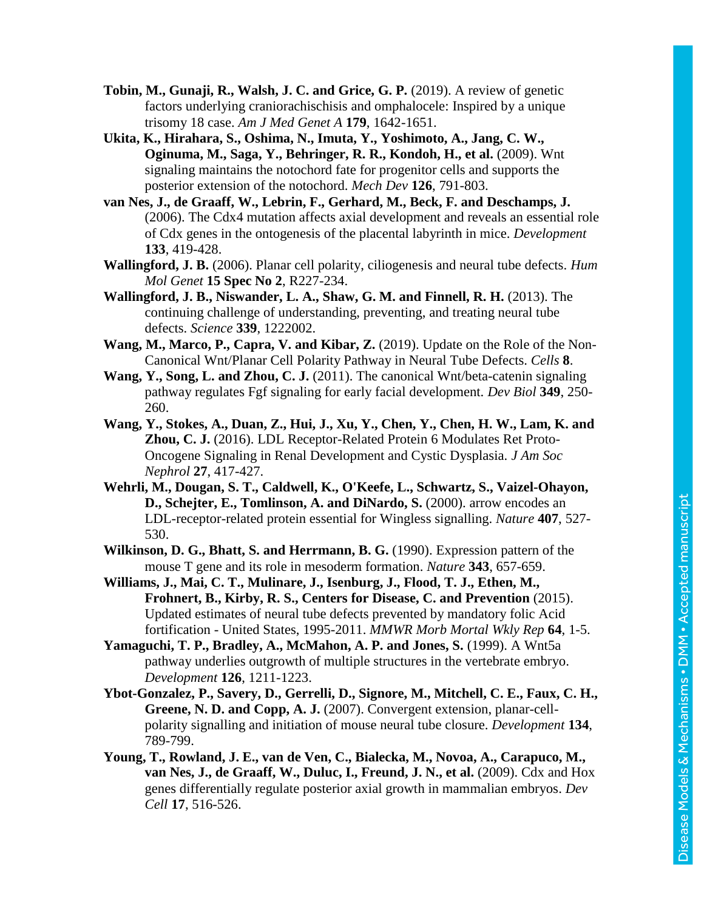- **Tobin, M., Gunaji, R., Walsh, J. C. and Grice, G. P.** (2019). A review of genetic factors underlying craniorachischisis and omphalocele: Inspired by a unique trisomy 18 case. *Am J Med Genet A* **179**, 1642-1651.
- **Ukita, K., Hirahara, S., Oshima, N., Imuta, Y., Yoshimoto, A., Jang, C. W., Oginuma, M., Saga, Y., Behringer, R. R., Kondoh, H., et al.** (2009). Wnt signaling maintains the notochord fate for progenitor cells and supports the posterior extension of the notochord. *Mech Dev* **126**, 791-803.
- **van Nes, J., de Graaff, W., Lebrin, F., Gerhard, M., Beck, F. and Deschamps, J.**  (2006). The Cdx4 mutation affects axial development and reveals an essential role of Cdx genes in the ontogenesis of the placental labyrinth in mice. *Development* **133**, 419-428.
- **Wallingford, J. B.** (2006). Planar cell polarity, ciliogenesis and neural tube defects. *Hum Mol Genet* **15 Spec No 2**, R227-234.
- **Wallingford, J. B., Niswander, L. A., Shaw, G. M. and Finnell, R. H.** (2013). The continuing challenge of understanding, preventing, and treating neural tube defects. *Science* **339**, 1222002.
- **Wang, M., Marco, P., Capra, V. and Kibar, Z.** (2019). Update on the Role of the Non-Canonical Wnt/Planar Cell Polarity Pathway in Neural Tube Defects. *Cells* **8**.
- **Wang, Y., Song, L. and Zhou, C. J.** (2011). The canonical Wnt/beta-catenin signaling pathway regulates Fgf signaling for early facial development. *Dev Biol* **349**, 250- 260.
- **Wang, Y., Stokes, A., Duan, Z., Hui, J., Xu, Y., Chen, Y., Chen, H. W., Lam, K. and Zhou, C. J.** (2016). LDL Receptor-Related Protein 6 Modulates Ret Proto-Oncogene Signaling in Renal Development and Cystic Dysplasia. *J Am Soc Nephrol* **27**, 417-427.
- **Wehrli, M., Dougan, S. T., Caldwell, K., O'Keefe, L., Schwartz, S., Vaizel-Ohayon, D., Schejter, E., Tomlinson, A. and DiNardo, S.** (2000). arrow encodes an LDL-receptor-related protein essential for Wingless signalling. *Nature* **407**, 527- 530.
- **Wilkinson, D. G., Bhatt, S. and Herrmann, B. G.** (1990). Expression pattern of the mouse T gene and its role in mesoderm formation. *Nature* **343**, 657-659.
- **Williams, J., Mai, C. T., Mulinare, J., Isenburg, J., Flood, T. J., Ethen, M., Frohnert, B., Kirby, R. S., Centers for Disease, C. and Prevention** (2015). Updated estimates of neural tube defects prevented by mandatory folic Acid fortification - United States, 1995-2011. *MMWR Morb Mortal Wkly Rep* **64**, 1-5.
- **Yamaguchi, T. P., Bradley, A., McMahon, A. P. and Jones, S.** (1999). A Wnt5a pathway underlies outgrowth of multiple structures in the vertebrate embryo. *Development* **126**, 1211-1223.
- **Ybot-Gonzalez, P., Savery, D., Gerrelli, D., Signore, M., Mitchell, C. E., Faux, C. H., Greene, N. D. and Copp, A. J.** (2007). Convergent extension, planar-cellpolarity signalling and initiation of mouse neural tube closure. *Development* **134**, 789-799.
- **Young, T., Rowland, J. E., van de Ven, C., Bialecka, M., Novoa, A., Carapuco, M., van Nes, J., de Graaff, W., Duluc, I., Freund, J. N., et al.** (2009). Cdx and Hox genes differentially regulate posterior axial growth in mammalian embryos. *Dev Cell* **17**, 516-526.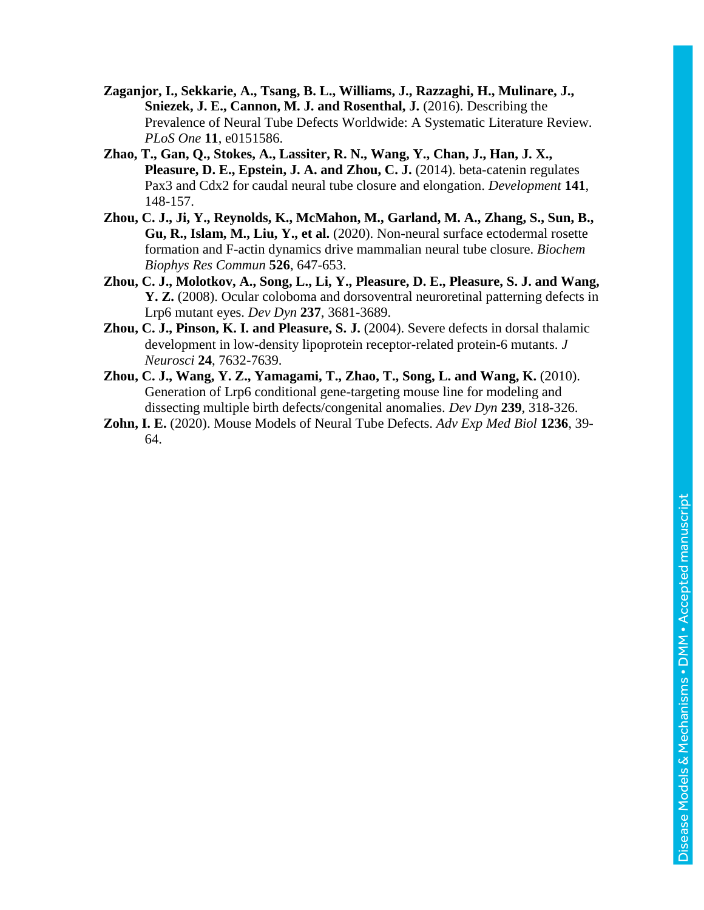Disease Models & Mechanisms . DMM . Accepted manuscript Disease Models & Mechanisms • DMM • Accepted manuscript

- **Zaganjor, I., Sekkarie, A., Tsang, B. L., Williams, J., Razzaghi, H., Mulinare, J., Sniezek, J. E., Cannon, M. J. and Rosenthal, J.** (2016). Describing the Prevalence of Neural Tube Defects Worldwide: A Systematic Literature Review. *PLoS One* **11**, e0151586.
- **Zhao, T., Gan, Q., Stokes, A., Lassiter, R. N., Wang, Y., Chan, J., Han, J. X., Pleasure, D. E., Epstein, J. A. and Zhou, C. J.** (2014). beta-catenin regulates Pax3 and Cdx2 for caudal neural tube closure and elongation. *Development* **141**, 148-157.
- **Zhou, C. J., Ji, Y., Reynolds, K., McMahon, M., Garland, M. A., Zhang, S., Sun, B., Gu, R., Islam, M., Liu, Y., et al.** (2020). Non-neural surface ectodermal rosette formation and F-actin dynamics drive mammalian neural tube closure. *Biochem Biophys Res Commun* **526**, 647-653.
- **Zhou, C. J., Molotkov, A., Song, L., Li, Y., Pleasure, D. E., Pleasure, S. J. and Wang, Y. Z.** (2008). Ocular coloboma and dorsoventral neuroretinal patterning defects in Lrp6 mutant eyes. *Dev Dyn* **237**, 3681-3689.
- **Zhou, C. J., Pinson, K. I. and Pleasure, S. J.** (2004). Severe defects in dorsal thalamic development in low-density lipoprotein receptor-related protein-6 mutants. *J Neurosci* **24**, 7632-7639.
- **Zhou, C. J., Wang, Y. Z., Yamagami, T., Zhao, T., Song, L. and Wang, K.** (2010). Generation of Lrp6 conditional gene-targeting mouse line for modeling and dissecting multiple birth defects/congenital anomalies. *Dev Dyn* **239**, 318-326.
- **Zohn, I. E.** (2020). Mouse Models of Neural Tube Defects. *Adv Exp Med Biol* **1236**, 39- 64.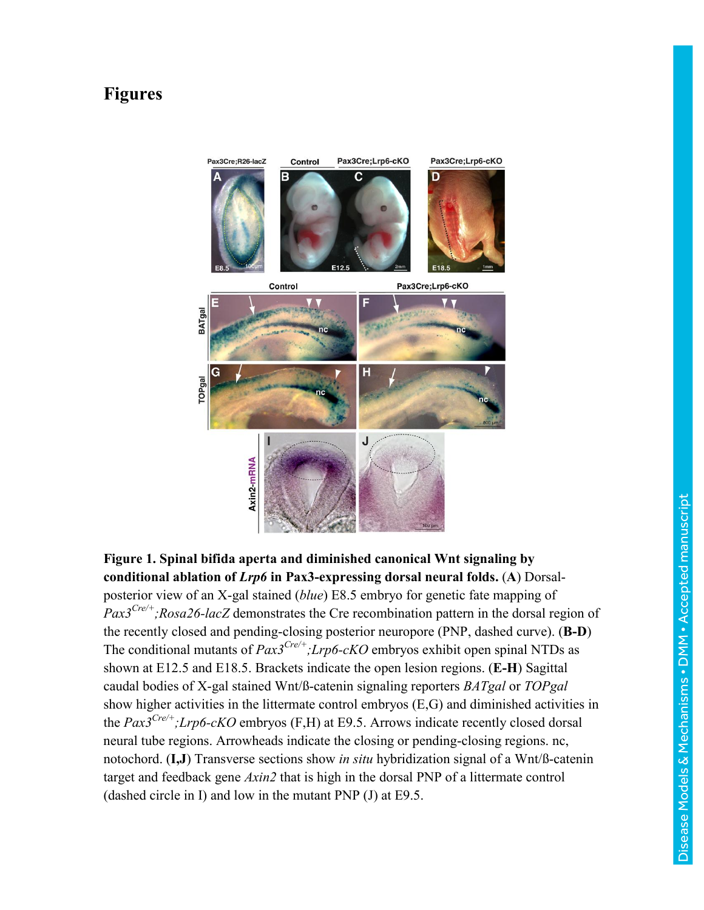## **Figures**



**Figure 1. Spinal bifida aperta and diminished canonical Wnt signaling by conditional ablation of** *Lrp6* **in Pax3-expressing dorsal neural folds.** (**A**) Dorsalposterior view of an X-gal stained (*blue*) E8.5 embryo for genetic fate mapping of *Pax3Cre/+;Rosa26-lacZ* demonstrates the Cre recombination pattern in the dorsal region of the recently closed and pending-closing posterior neuropore (PNP, dashed curve). (**B-D**) The conditional mutants of *Pax3Cre/+;Lrp6-cKO* embryos exhibit open spinal NTDs as shown at E12.5 and E18.5. Brackets indicate the open lesion regions. (**E-H**) Sagittal caudal bodies of X-gal stained Wnt/ß-catenin signaling reporters *BATgal* or *TOPgal* show higher activities in the littermate control embryos (E,G) and diminished activities in the *Pax3Cre/+;Lrp6-cKO* embryos (F,H) at E9.5. Arrows indicate recently closed dorsal neural tube regions. Arrowheads indicate the closing or pending-closing regions. nc, notochord. (**I,J**) Transverse sections show *in situ* hybridization signal of a Wnt/ß-catenin target and feedback gene *Axin2* that is high in the dorsal PNP of a littermate control (dashed circle in I) and low in the mutant PNP (J) at E9.5.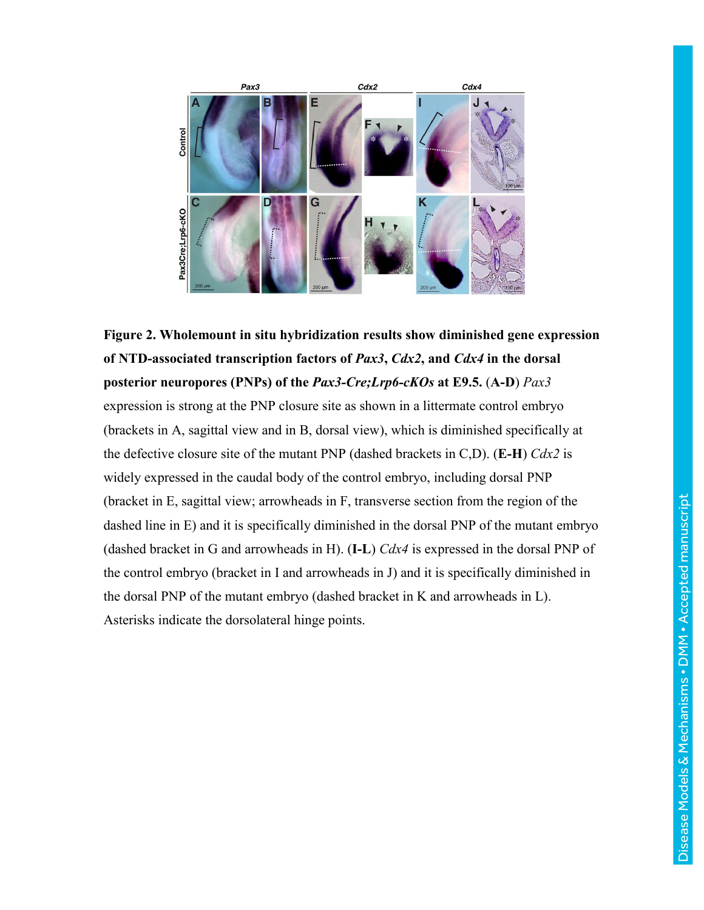

**Figure 2. Wholemount in situ hybridization results show diminished gene expression of NTD-associated transcription factors of** *Pax3***,** *Cdx2***, and** *Cdx4* **in the dorsal posterior neuropores (PNPs) of the** *Pax3-Cre;Lrp6-cKOs* **at E9.5.** (**A-D**) *Pax3* expression is strong at the PNP closure site as shown in a littermate control embryo (brackets in A, sagittal view and in B, dorsal view), which is diminished specifically at the defective closure site of the mutant PNP (dashed brackets in C,D). (**E-H**) *Cdx2* is widely expressed in the caudal body of the control embryo, including dorsal PNP (bracket in E, sagittal view; arrowheads in F, transverse section from the region of the dashed line in E) and it is specifically diminished in the dorsal PNP of the mutant embryo (dashed bracket in G and arrowheads in H). (**I-L**) *Cdx4* is expressed in the dorsal PNP of the control embryo (bracket in I and arrowheads in J) and it is specifically diminished in the dorsal PNP of the mutant embryo (dashed bracket in K and arrowheads in L). Asterisks indicate the dorsolateral hinge points.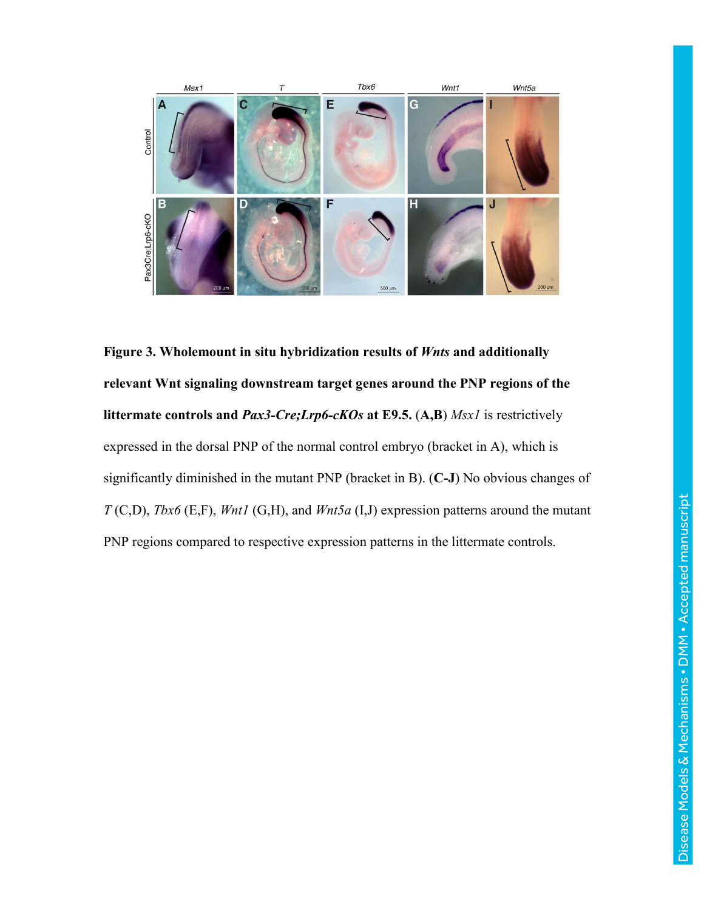

**Figure 3. Wholemount in situ hybridization results of** *Wnts* **and additionally relevant Wnt signaling downstream target genes around the PNP regions of the littermate controls and** *Pax3-Cre;Lrp6-cKOs* **at E9.5.** (**A,B**) *Msx1* is restrictively expressed in the dorsal PNP of the normal control embryo (bracket in A), which is significantly diminished in the mutant PNP (bracket in B). (**C-J**) No obvious changes of *T* (C,D), *Tbx6* (E,F), *Wnt1* (G,H), and *Wnt5a* (I,J) expression patterns around the mutant PNP regions compared to respective expression patterns in the littermate controls.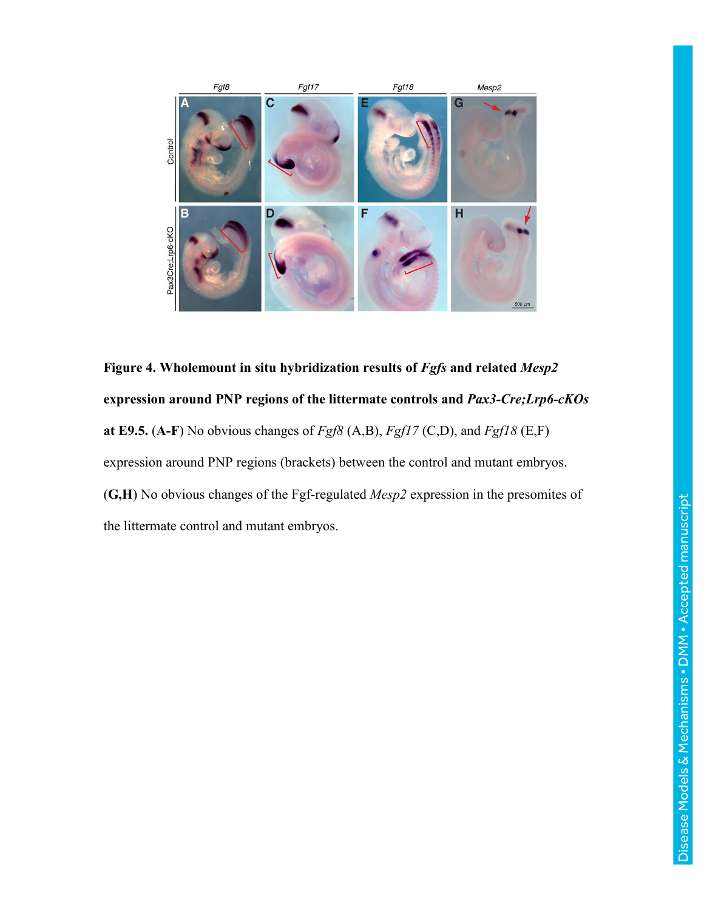

**Figure 4. Wholemount in situ hybridization results of** *Fgfs* **and related** *Mesp2* **expression around PNP regions of the littermate controls and** *Pax3-Cre;Lrp6-cKOs* **at E9.5.** (**A-F**) No obvious changes of *Fgf8* (A,B), *Fgf17* (C,D), and *Fgf18* (E,F) expression around PNP regions (brackets) between the control and mutant embryos. (**G,H**) No obvious changes of the Fgf-regulated *Mesp2* expression in the presomites of the littermate control and mutant embryos.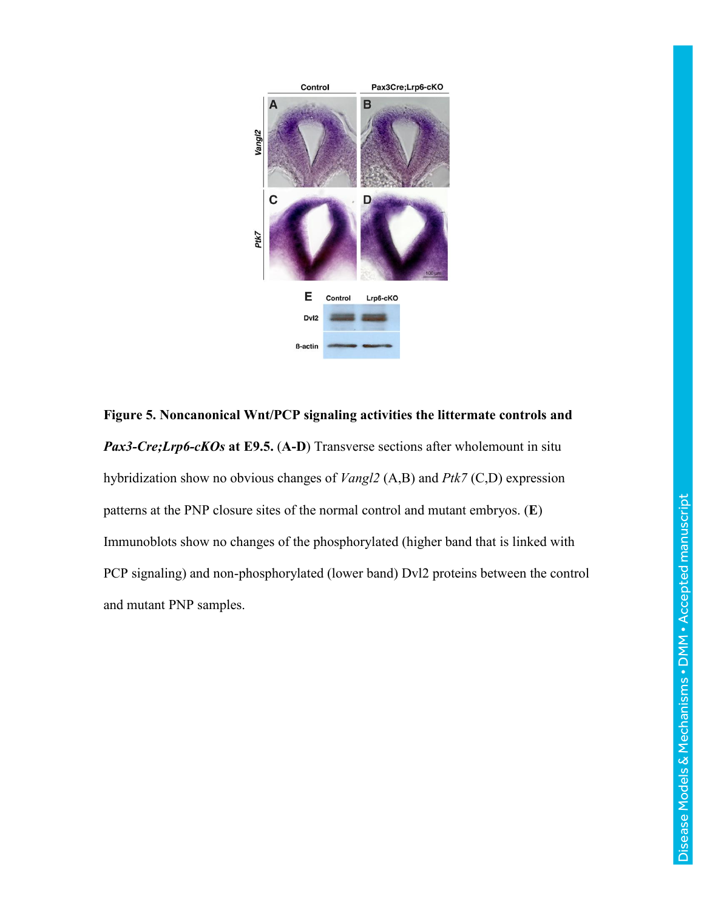

**Figure 5. Noncanonical Wnt/PCP signaling activities the littermate controls and**  *Pax3-Cre;Lrp6-cKOs* **at E9.5.** (**A-D**) Transverse sections after wholemount in situ hybridization show no obvious changes of *Vangl2* (A,B) and *Ptk7* (C,D) expression patterns at the PNP closure sites of the normal control and mutant embryos. (**E**) Immunoblots show no changes of the phosphorylated (higher band that is linked with PCP signaling) and non-phosphorylated (lower band) Dvl2 proteins between the control and mutant PNP samples.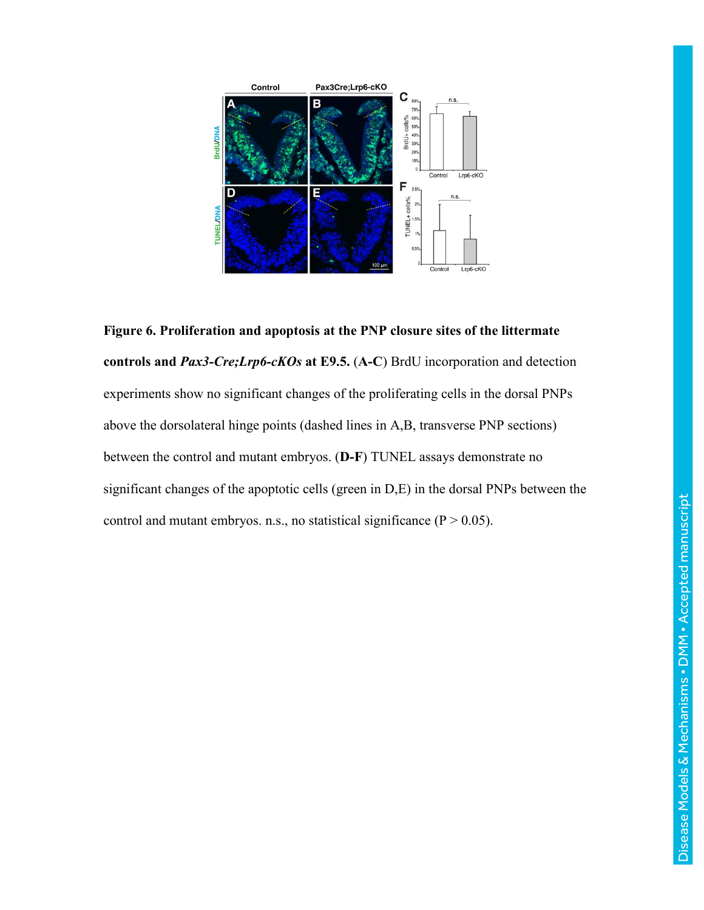

**Figure 6. Proliferation and apoptosis at the PNP closure sites of the littermate controls and** *Pax3-Cre;Lrp6-cKOs* **at E9.5.** (**A-C**) BrdU incorporation and detection experiments show no significant changes of the proliferating cells in the dorsal PNPs above the dorsolateral hinge points (dashed lines in A,B, transverse PNP sections) between the control and mutant embryos. (**D-F**) TUNEL assays demonstrate no significant changes of the apoptotic cells (green in D,E) in the dorsal PNPs between the control and mutant embryos. n.s., no statistical significance ( $P > 0.05$ ).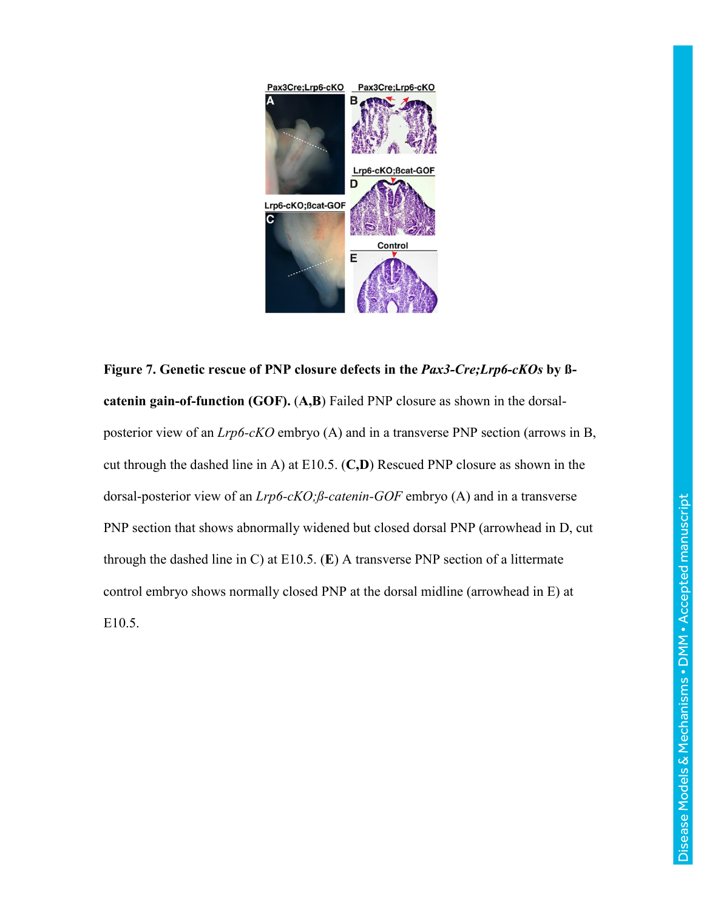

**Figure 7. Genetic rescue of PNP closure defects in the** *Pax3-Cre;Lrp6-cKOs* **by ßcatenin gain-of-function (GOF).** (**A,B**) Failed PNP closure as shown in the dorsalposterior view of an *Lrp6-cKO* embryo (A) and in a transverse PNP section (arrows in B, cut through the dashed line in A) at E10.5. (**C,D**) Rescued PNP closure as shown in the dorsal-posterior view of an *Lrp6-cKO;ß-catenin-GOF* embryo (A) and in a transverse PNP section that shows abnormally widened but closed dorsal PNP (arrowhead in D, cut through the dashed line in C) at E10.5. (**E**) A transverse PNP section of a littermate control embryo shows normally closed PNP at the dorsal midline (arrowhead in E) at E10.5.